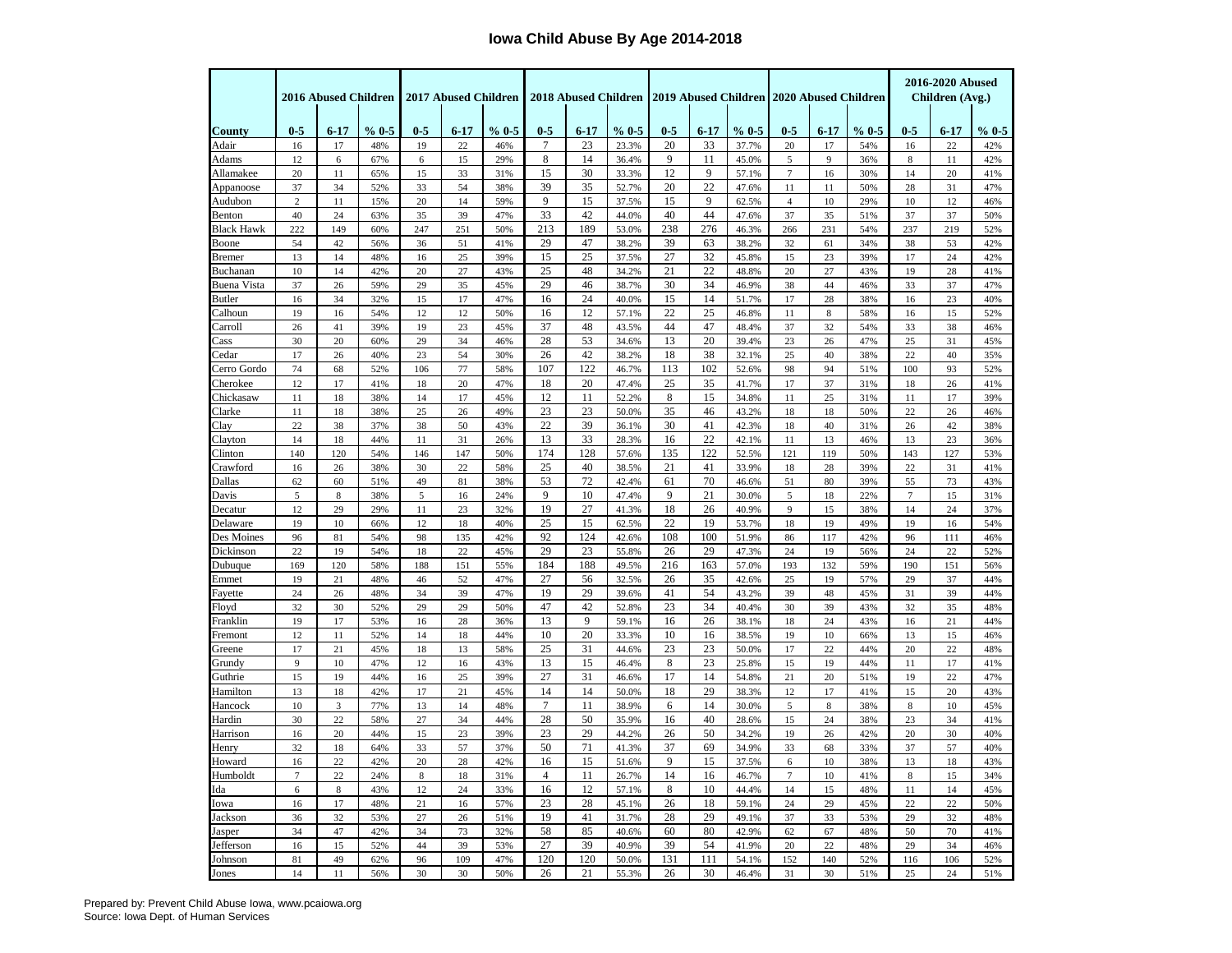## **Iowa Child Abuse By Age 2014-2018**

|                         | 2016 Abused Children |             |            | 2017 Abused Children |                 |            |                |          |                | 2018 Abused Children 2019 Abused Children 2020 Abused Children |          |                |                |          |            | 2016-2020 Abused<br>Children (Avg.) |          |            |
|-------------------------|----------------------|-------------|------------|----------------------|-----------------|------------|----------------|----------|----------------|----------------------------------------------------------------|----------|----------------|----------------|----------|------------|-------------------------------------|----------|------------|
|                         |                      |             |            |                      |                 |            |                |          |                |                                                                |          |                |                |          |            |                                     |          |            |
| County                  | $0 - 5$              | $6 - 17$    | % 0.5      | $0 - 5$              | $6 - 17$        | % 0.5      | $0 - 5$        | $6 - 17$ | % 0.5          | $0 - 5$                                                        | $6 - 17$ | % 0.5          | $0-5$          | $6 - 17$ | % 0.5      | $0 - 5$                             | $6 - 17$ | % 0.5      |
| Adair                   | 16                   | 17          | 48%        | 19                   | 22              | 46%        | $\overline{7}$ | 23       | 23.3%          | 20                                                             | 33       | 37.7%          | 20             | 17       | 54%        | 16                                  | 22       | 42%        |
| Adams                   | 12                   | 6           | 67%        | 6                    | 15              | 29%        | 8              | 14       | 36.4%          | 9                                                              | 11       | 45.0%          | 5              | 9        | 36%        | 8                                   | 11       | 42%        |
| Allamakee               | 20                   | 11          | 65%        | 15                   | 33              | 31%        | 15             | 30       | 33.3%          | 12                                                             | 9        | 57.1%          | $\tau$         | 16       | 30%        | 14                                  | 20       | 41%        |
| Appanoose               | 37                   | 34          | 52%        | 33                   | 54              | 38%        | 39             | 35       | 52.7%          | 20                                                             | 22       | 47.6%          | 11             | 11       | 50%        | 28                                  | 31       | 47%        |
| Audubon                 | $\overline{c}$       | 11          | 15%        | 20                   | 14              | 59%        | 9              | 15       | 37.5%          | 15                                                             | 9        | 62.5%          | $\overline{4}$ | 10       | 29%        | 10                                  | 12       | 46%        |
| Benton                  | 40                   | 24          | 63%        | 35                   | 39              | 47%        | 33             | 42       | 44.0%          | 40                                                             | 44       | 47.6%          | 37             | 35       | 51%        | 37                                  | 37       | 50%        |
| Black Hawk              | 222                  | 149         | 60%        | 247                  | 251             | 50%        | 213            | 189      | 53.0%          | 238                                                            | 276      | 46.3%          | 266            | 231      | 54%        | 237                                 | 219      | 52%        |
| Boone                   | 54                   | 42          | 56%        | 36                   | 51              | 41%        | 29<br>15       | 47<br>25 | 38.2%          | 39<br>27                                                       | 63<br>32 | 38.2%          | 32             | 61       | 34%        | 38                                  | 53       | 42%        |
| Bremer                  | 13<br>10             | 14<br>14    | 48%<br>42% | 16<br>20             | 25              | 39%        | 25             | 48       | 37.5%          | 21                                                             | 22       | 45.8%          | 15<br>20       | 23       | 39%        | 17<br>19                            | 24       | 42%<br>41% |
| Buchanan<br>Buena Vista | 37                   | 26          | 59%        | 29                   | 27<br>35        | 43%<br>45% | 29             | 46       | 34.2%<br>38.7% | 30                                                             | 34       | 48.8%<br>46.9% | 38             | 27<br>44 | 43%<br>46% | 33                                  | 28<br>37 | 47%        |
| <b>Butler</b>           | 16                   | 34          | 32%        | 15                   | 17              | 47%        | 16             | 24       | 40.0%          | 15                                                             | 14       | 51.7%          | 17             | 28       | 38%        | 16                                  | 23       | 40%        |
| Calhoun                 | 19                   | 16          | 54%        | 12                   | 12              | 50%        | 16             | 12       | 57.1%          | 22                                                             | 25       | 46.8%          | 11             | 8        | 58%        | 16                                  | 15       | 52%        |
| Carroll                 | 26                   | 41          | 39%        | 19                   | 23              | 45%        | 37             | 48       | 43.5%          | 44                                                             | 47       | 48.4%          | 37             | 32       | 54%        | 33                                  | 38       | 46%        |
| Cass                    | 30                   | 20          | 60%        | 29                   | 34              | 46%        | 28             | 53       | 34.6%          | 13                                                             | 20       | 39.4%          | 23             | 26       | 47%        | 25                                  | 31       | 45%        |
| Cedar                   | 17                   | 26          | 40%        | 23                   | 54              | 30%        | 26             | 42       | 38.2%          | 18                                                             | 38       | 32.1%          | 25             | 40       | 38%        | 22                                  | 40       | 35%        |
| Cerro Gordo             | 74                   | 68          | 52%        | 106                  | 77              | 58%        | 107            | 122      | 46.7%          | 113                                                            | 102      | 52.6%          | 98             | 94       | 51%        | 100                                 | 93       | 52%        |
| Cherokee                | 12                   | 17          | 41%        | 18                   | 20              | 47%        | 18             | 20       | 47.4%          | 25                                                             | 35       | 41.7%          | 17             | 37       | 31%        | 18                                  | 26       | 41%        |
| Chickasaw               | 11                   | 18          | 38%        | 14                   | 17              | 45%        | 12             | 11       | 52.2%          | 8                                                              | 15       | 34.8%          | 11             | 25       | 31%        | 11                                  | 17       | 39%        |
| Clarke                  | 11                   | 18          | 38%        | 25                   | 26              | 49%        | 23             | 23       | 50.0%          | 35                                                             | 46       | 43.2%          | 18             | 18       | 50%        | 22                                  | 26       | 46%        |
| Clay                    | 22                   | 38          | 37%        | 38                   | 50              | 43%        | 22             | 39       | 36.1%          | 30                                                             | 41       | 42.3%          | 18             | 40       | 31%        | 26                                  | 42       | 38%        |
| Clayton                 | 14                   | 18          | 44%        | 11                   | 31              | 26%        | 13             | 33       | 28.3%          | 16                                                             | 22       | 42.1%          | 11             | 13       | 46%        | 13                                  | 23       | 36%        |
| Clinton                 | 140                  | 120         | 54%        | 146                  | 147             | 50%        | 174            | 128      | 57.6%          | 135                                                            | 122      | 52.5%          | 121            | 119      | 50%        | 143                                 | 127      | 53%        |
| Crawford                | 16                   | 26          | 38%        | 30                   | 22              | 58%        | 25             | 40       | 38.5%          | 21                                                             | 41       | 33.9%          | 18             | 28       | 39%        | 22                                  | 31       | 41%        |
| Dallas                  | 62                   | 60          | 51%        | 49                   | 81              | 38%        | 53             | 72       | 42.4%          | 61                                                             | 70       | 46.6%          | 51             | 80       | 39%        | 55                                  | 73       | 43%        |
| Davis                   | $\sqrt{5}$           | $\,$ 8 $\,$ | 38%        | 5                    | 16              | 24%        | 9              | 10       | 47.4%          | 9                                                              | 21       | 30.0%          | 5              | 18       | 22%        | $\overline{7}$                      | 15       | 31%        |
| Decatur                 | 12                   | 29          | 29%        | 11                   | 23              | 32%        | 19             | 27       | 41.3%          | 18                                                             | 26       | 40.9%          | 9              | 15       | 38%        | 14                                  | 24       | 37%        |
| Delaware                | 19                   | 10          | 66%        | 12                   | 18              | 40%        | 25             | 15       | 62.5%          | 22                                                             | 19       | 53.7%          | 18             | 19       | 49%        | 19                                  | 16       | 54%        |
| Des Moines              | 96                   | 81          | 54%        | 98                   | 135             | 42%        | 92             | 124      | 42.6%          | 108                                                            | 100      | 51.9%          | 86             | 117      | 42%        | 96                                  | 111      | 46%        |
| Dickinson               | 22                   | 19          | 54%        | 18                   | 22              | 45%        | 29             | 23       | 55.8%          | 26                                                             | 29       | 47.3%          | 24             | 19       | 56%        | 24                                  | 22       | 52%        |
| Dubuque                 | 169                  | 120         | 58%        | 188                  | 151             | 55%        | 184            | 188      | 49.5%          | 216                                                            | 163      | 57.0%          | 193            | 132      | 59%        | 190                                 | 151      | 56%        |
| Emmet                   | 19                   | 21          | 48%        | 46                   | 52              | 47%        | 27             | 56       | 32.5%          | 26                                                             | 35       | 42.6%          | 25             | 19       | 57%        | 29                                  | 37       | 44%        |
| Fayette                 | 24                   | 26          | 48%        | 34                   | 39              | 47%        | 19             | 29       | 39.6%          | 41                                                             | 54       | 43.2%          | 39             | 48       | 45%        | 31                                  | 39       | 44%        |
| Floyd                   | 32                   | 30          | 52%        | 29                   | 29              | 50%        | 47             | 42       | 52.8%          | 23                                                             | 34       | 40.4%          | 30             | 39       | 43%        | 32                                  | 35       | 48%        |
| Franklin                | 19                   | 17          | 53%        | 16                   | 28              | 36%        | 13             | 9        | 59.1%          | 16                                                             | 26       | 38.1%          | 18             | 24       | 43%        | 16                                  | 21       | 44%        |
| Fremont                 | 12                   | 11          | 52%        | 14                   | 18              | 44%        | 10             | 20       | 33.3%          | 10<br>23                                                       | 16<br>23 | 38.5%          | 19             | 10       | 66%        | 13                                  | 15       | 46%        |
| Greene                  | 17                   | 21          | 45%        | 18                   | 13              | 58%        | 25<br>13       | 31<br>15 | 44.6%          | 8                                                              | 23       | 50.0%          | 17             | 22       | 44%        | 20                                  | 22       | 48%        |
| Grundy<br>Guthrie       | 9<br>15              | 10<br>19    | 47%<br>44% | 12<br>16             | 16<br>25        | 43%<br>39% | 27             | 31       | 46.4%<br>46.6% | 17                                                             | 14       | 25.8%<br>54.8% | 15<br>21       | 19<br>20 | 44%<br>51% | 11<br>19                            | 17<br>22 | 41%<br>47% |
| Hamilton                | 13                   | 18          | 42%        | 17                   | $\overline{21}$ | 45%        | 14             | 14       | 50.0%          | 18                                                             | 29       | 38.3%          | 12             | 17       | 41%        | 15                                  | $20\,$   | 43%        |
| Hancock                 | 10                   | 3           | 77%        | 13                   | 14              | 48%        | $\tau$         | 11       | 38.9%          | 6                                                              | 14       | 30.0%          | $\sqrt{5}$     | 8        | 38%        | 8                                   | 10       | 45%        |
| Hardin                  | 30                   | 22          | 58%        | 27                   | 34              | 44%        | 28             | 50       | 35.9%          | 16                                                             | 40       | 28.6%          | 15             | 24       | 38%        | 23                                  | 34       | 41%        |
| Harrison                | 16                   | 20          | 44%        | 15                   | 23              | 39%        | 23             | 29       | 44.2%          | 26                                                             | 50       | 34.2%          | 19             | 26       | 42%        | 20                                  | 30       | 40%        |
| Henry                   | 32                   | 18          | 64%        | 33                   | 57              | 37%        | 50             | 71       | 41.3%          | 37                                                             | 69       | 34.9%          | 33             | 68       | 33%        | 37                                  | 57       | 40%        |
| Howard                  | 16                   | 22          | 42%        | 20                   | 28              | 42%        | 16             | 15       | 51.6%          | 9                                                              | 15       | 37.5%          | 6              | 10       | 38%        | 13                                  | 18       | 43%        |
| Humboldt                | $\tau$               | 22          | 24%        | $\,$ 8 $\,$          | 18              | 31%        | $\overline{4}$ | 11       | 26.7%          | 14                                                             | 16       | 46.7%          | $\overline{7}$ | 10       | 41%        | $\,$ 8 $\,$                         | 15       | 34%        |
| Ida                     | 6                    | 8           | 43%        | 12                   | 24              | 33%        | 16             | 12       | 57.1%          | 8                                                              | 10       | 44.4%          | 14             | 15       | 48%        | 11                                  | 14       | 45%        |
| Iowa                    | 16                   | 17          | 48%        | 21                   | 16              | 57%        | 23             | 28       | 45.1%          | 26                                                             | 18       | 59.1%          | 24             | 29       | 45%        | 22                                  | 22       | 50%        |
| Jackson                 | 36                   | 32          | 53%        | 27                   | 26              | 51%        | 19             | 41       | 31.7%          | 28                                                             | 29       | 49.1%          | 37             | 33       | 53%        | 29                                  | 32       | 48%        |
| Jasper                  | 34                   | 47          | 42%        | 34                   | 73              | 32%        | 58             | 85       | 40.6%          | 60                                                             | 80       | 42.9%          | 62             | 67       | 48%        | 50                                  | 70       | 41%        |
| Jefferson               | 16                   | 15          | 52%        | 44                   | 39              | 53%        | 27             | 39       | 40.9%          | 39                                                             | 54       | 41.9%          | 20             | 22       | 48%        | 29                                  | 34       | 46%        |
| Johnson                 | 81                   | 49          | 62%        | 96                   | 109             | 47%        | 120            | 120      | 50.0%          | 131                                                            | 111      | 54.1%          | 152            | 140      | 52%        | 116                                 | 106      | 52%        |
| Jones                   | 14                   | 11          | 56%        | 30                   | 30              | 50%        | 26             | 21       | 55.3%          | 26                                                             | 30       | 46.4%          | 31             | 30       | 51%        | 25                                  | 24       | 51%        |